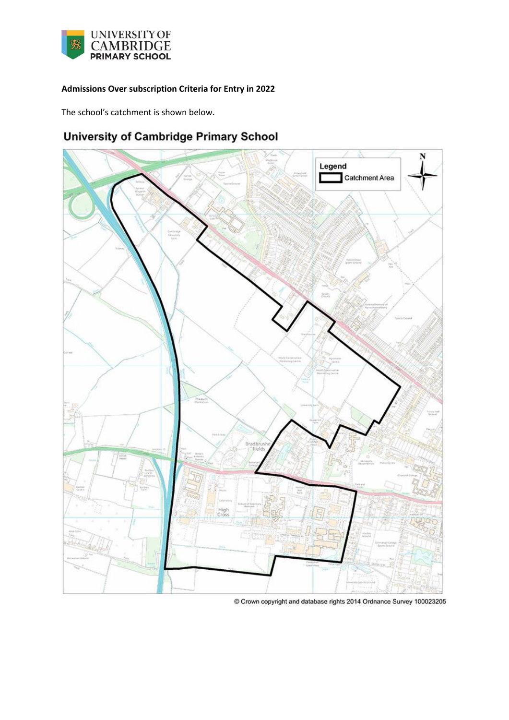

## **Admissions Over subscription Criteria for Entry in 2022**

The school's catchment is shown below.

# **University of Cambridge Primary School**



 $@$  Crown copyright and database rights 2014 Ordnance Survey 100023205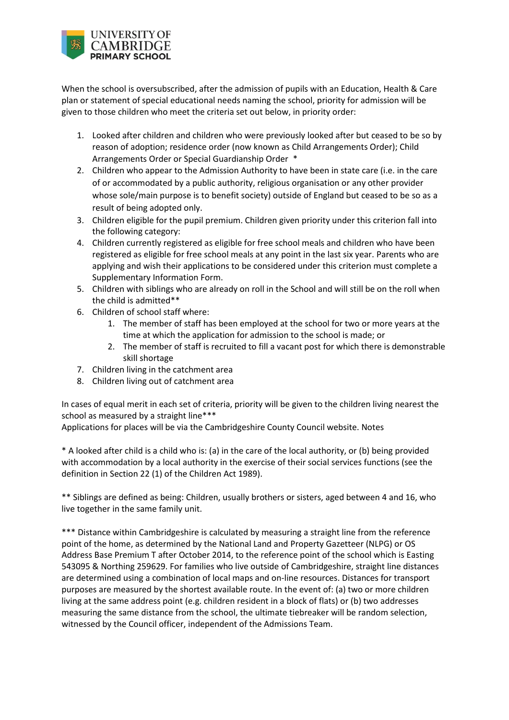

When the school is oversubscribed, after the admission of pupils with an Education, Health & Care plan or statement of special educational needs naming the school, priority for admission will be given to those children who meet the criteria set out below, in priority order:

- 1. Looked after children and children who were previously looked after but ceased to be so by reason of adoption; residence order (now known as Child Arrangements Order); Child Arrangements Order or Special Guardianship Order \*
- 2. Children who appear to the Admission Authority to have been in state care (i.e. in the care of or accommodated by a public authority, religious organisation or any other provider whose sole/main purpose is to benefit society) outside of England but ceased to be so as a result of being adopted only.
- 3. Children eligible for the pupil premium. Children given priority under this criterion fall into the following category:
- 4. Children currently registered as eligible for free school meals and children who have been registered as eligible for free school meals at any point in the last six year. Parents who are applying and wish their applications to be considered under this criterion must complete a Supplementary Information Form.
- 5. Children with siblings who are already on roll in the School and will still be on the roll when the child is admitted\*\*
- 6. Children of school staff where:
	- 1. The member of staff has been employed at the school for two or more years at the time at which the application for admission to the school is made; or
	- 2. The member of staff is recruited to fill a vacant post for which there is demonstrable skill shortage
- 7. Children living in the catchment area
- 8. Children living out of catchment area

In cases of equal merit in each set of criteria, priority will be given to the children living nearest the school as measured by a straight line\*\*\*

Applications for places will be via the Cambridgeshire County Council website. Notes

\* A looked after child is a child who is: (a) in the care of the local authority, or (b) being provided with accommodation by a local authority in the exercise of their social services functions (see the definition in Section 22 (1) of the Children Act 1989).

\*\* Siblings are defined as being: Children, usually brothers or sisters, aged between 4 and 16, who live together in the same family unit.

\*\*\* Distance within Cambridgeshire is calculated by measuring a straight line from the reference point of the home, as determined by the National Land and Property Gazetteer (NLPG) or OS Address Base Premium T after October 2014, to the reference point of the school which is Easting 543095 & Northing 259629. For families who live outside of Cambridgeshire, straight line distances are determined using a combination of local maps and on-line resources. Distances for transport purposes are measured by the shortest available route. In the event of: (a) two or more children living at the same address point (e.g. children resident in a block of flats) or (b) two addresses measuring the same distance from the school, the ultimate tiebreaker will be random selection, witnessed by the Council officer, independent of the Admissions Team.